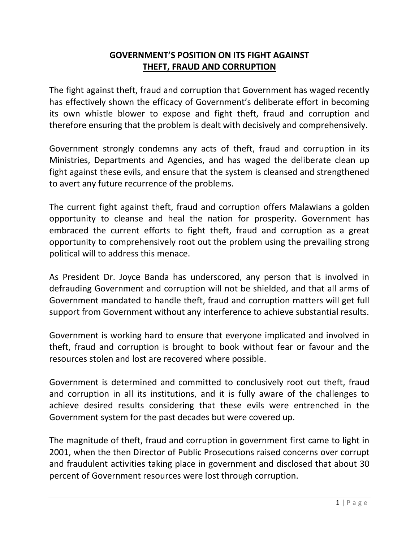## **GOVERNMENT'S POSITION ON ITS FIGHT AGAINST THEFT, FRAUD AND CORRUPTION**

The fight against theft, fraud and corruption that Government has waged recently has effectively shown the efficacy of Government's deliberate effort in becoming its own whistle blower to expose and fight theft, fraud and corruption and therefore ensuring that the problem is dealt with decisively and comprehensively.

Government strongly condemns any acts of theft, fraud and corruption in its Ministries, Departments and Agencies, and has waged the deliberate clean up fight against these evils, and ensure that the system is cleansed and strengthened to avert any future recurrence of the problems.

The current fight against theft, fraud and corruption offers Malawians a golden opportunity to cleanse and heal the nation for prosperity. Government has embraced the current efforts to fight theft, fraud and corruption as a great opportunity to comprehensively root out the problem using the prevailing strong political will to address this menace.

As President Dr. Joyce Banda has underscored, any person that is involved in defrauding Government and corruption will not be shielded, and that all arms of Government mandated to handle theft, fraud and corruption matters will get full support from Government without any interference to achieve substantial results.

Government is working hard to ensure that everyone implicated and involved in theft, fraud and corruption is brought to book without fear or favour and the resources stolen and lost are recovered where possible.

Government is determined and committed to conclusively root out theft, fraud and corruption in all its institutions, and it is fully aware of the challenges to achieve desired results considering that these evils were entrenched in the Government system for the past decades but were covered up.

The magnitude of theft, fraud and corruption in government first came to light in 2001, when the then Director of Public Prosecutions raised concerns over corrupt and fraudulent activities taking place in government and disclosed that about 30 percent of Government resources were lost through corruption.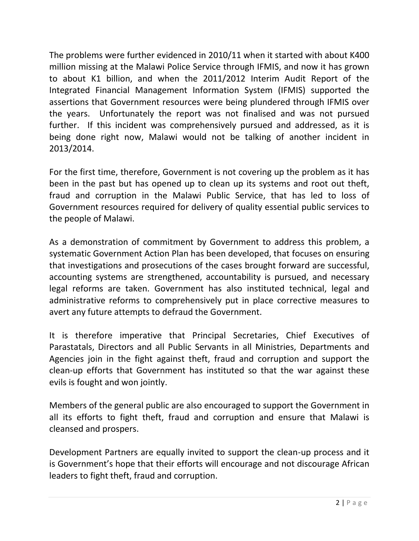The problems were further evidenced in 2010/11 when it started with about K400 million missing at the Malawi Police Service through IFMIS, and now it has grown to about K1 billion, and when the 2011/2012 Interim Audit Report of the Integrated Financial Management Information System (IFMIS) supported the assertions that Government resources were being plundered through IFMIS over the years. Unfortunately the report was not finalised and was not pursued further. If this incident was comprehensively pursued and addressed, as it is being done right now, Malawi would not be talking of another incident in 2013/2014.

For the first time, therefore, Government is not covering up the problem as it has been in the past but has opened up to clean up its systems and root out theft, fraud and corruption in the Malawi Public Service, that has led to loss of Government resources required for delivery of quality essential public services to the people of Malawi.

As a demonstration of commitment by Government to address this problem, a systematic Government Action Plan has been developed, that focuses on ensuring that investigations and prosecutions of the cases brought forward are successful, accounting systems are strengthened, accountability is pursued, and necessary legal reforms are taken. Government has also instituted technical, legal and administrative reforms to comprehensively put in place corrective measures to avert any future attempts to defraud the Government.

It is therefore imperative that Principal Secretaries, Chief Executives of Parastatals, Directors and all Public Servants in all Ministries, Departments and Agencies join in the fight against theft, fraud and corruption and support the clean-up efforts that Government has instituted so that the war against these evils is fought and won jointly.

Members of the general public are also encouraged to support the Government in all its efforts to fight theft, fraud and corruption and ensure that Malawi is cleansed and prospers.

Development Partners are equally invited to support the clean-up process and it is Government's hope that their efforts will encourage and not discourage African leaders to fight theft, fraud and corruption.